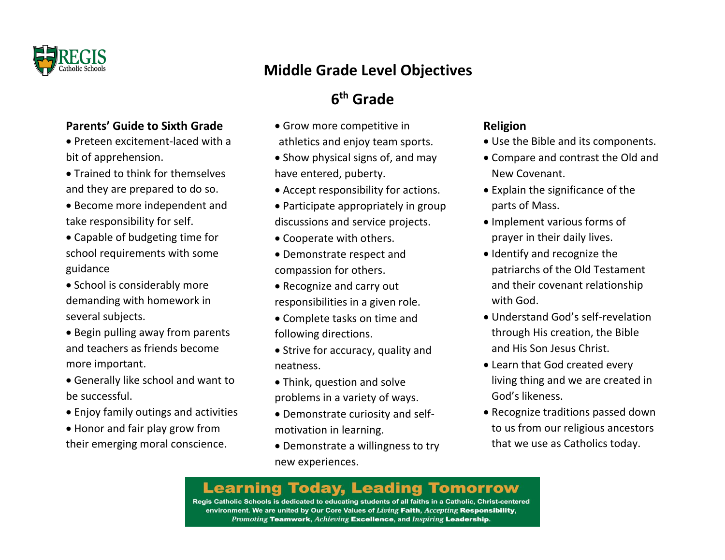

### **Parents' Guide to Sixth Grade**

- Preteen excitement-laced with a bit of apprehension.
- Trained to think for themselves and they are prepared to do so.
- Become more independent and take responsibility for self.
- Capable of budgeting time for school requirements with some guidance
- School is considerably more demanding with homework in several subjects.
- Begin pulling away from parents and teachers as friends become more important.
- Generally like school and want to be successful.
- Enjoy family outings and activities
- Honor and fair play grow from their emerging moral conscience.

# **Middle Grade Level Objectives**

# **6 th Grade**

- Grow more competitive in athletics and enjoy team sports.
- Show physical signs of, and may have entered, puberty.
- Accept responsibility for actions.
- Participate appropriately in group discussions and service projects.
- Cooperate with others.
- Demonstrate respect and compassion for others.
- Recognize and carry out responsibilities in a given role.
- Complete tasks on time and following directions.
- Strive for accuracy, quality and neatness.
- Think, question and solve problems in a variety of ways.
- Demonstrate curiosity and selfmotivation in learning.
- Demonstrate a willingness to try new experiences.

## **Religion**

- Use the Bible and its components.
- Compare and contrast the Old and New Covenant.
- Explain the significance of the parts of Mass.
- Implement various forms of prayer in their daily lives.
- Identify and recognize the patriarchs of the Old Testament and their covenant relationship with God.
- Understand God's self-revelation through His creation, the Bible and His Son Jesus Christ.
- Learn that God created every living thing and we are created in God's likeness.
- Recognize traditions passed down to us from our religious ancestors that we use as Catholics today.

# **Learning Today, Leading Tomorrow**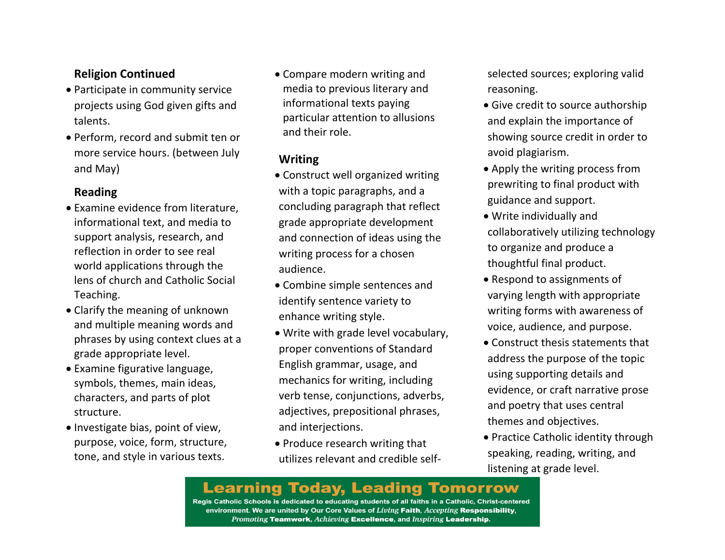### **Religion Continued**

- Participate in community service projects using God given gifts and talents.
- Perform, record and submit ten or more service hours. (between July and May)

#### **Reading**

- Examine evidence from literature, informational text, and media to support analysis, research, and reflection in order to see real world applications through the lens of church and Catholic Social Teaching.
- Clarify the meaning of unknown and multiple meaning words and phrases by using context clues at a grade appropriate level.
- Examine figurative language, symbols, themes, main ideas, characters, and parts of plot structure.
- Investigate bias, point of view, purpose, voice, form, structure, tone, and style in various texts.

 Compare modern writing and media to previous literary and informational texts paying particular attention to allusions and their role.

## **Writing**

- Construct well organized writing with a topic paragraphs, and a concluding paragraph that reflect grade appropriate development and connection of ideas using the writing process for a chosen audience.
- Combine simple sentences and identify sentence variety to enhance writing style.
- Write with grade level vocabulary, proper conventions of Standard English grammar, usage, and mechanics for writing, including verb tense, conjunctions, adverbs, adjectives, prepositional phrases, and interjections.
- Produce research writing that utilizes relevant and credible self-

selected sources; exploring valid reasoning.

- Give credit to source authorship and explain the importance of showing source credit in order to avoid plagiarism.
- Apply the writing process from prewriting to final product with guidance and support.
- Write individually and collaboratively utilizing technology to organize and produce a thoughtful final product.
- Respond to assignments of varying length with appropriate writing forms with awareness of voice, audience, and purpose.
- Construct thesis statements that address the purpose of the topic using supporting details and evidence, or craft narrative prose and poetry that uses central themes and objectives.
- Practice Catholic identity through speaking, reading, writing, and listening at grade level.

# **Learning Today, Leading Tomorrow**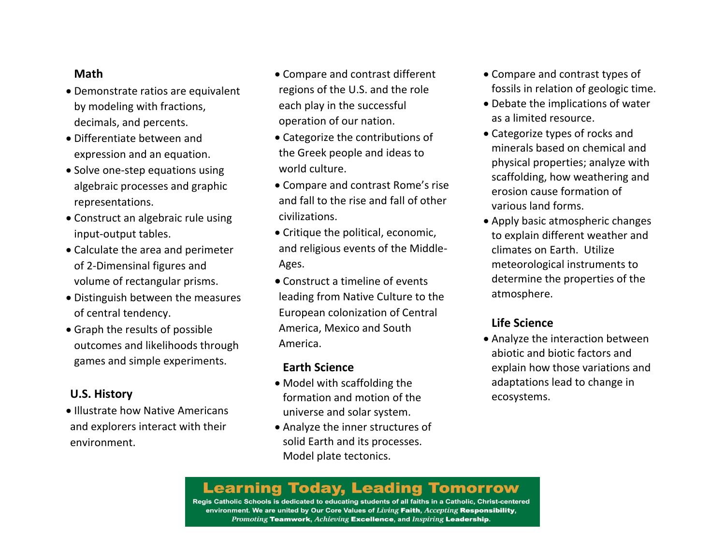#### **Math**

- Demonstrate ratios are equivalent by modeling with fractions, decimals, and percents.
- Differentiate between and expression and an equation.
- Solve one-step equations using algebraic processes and graphic representations.
- Construct an algebraic rule using input-output tables.
- Calculate the area and perimeter of 2-Dimensinal figures and volume of rectangular prisms.
- Distinguish between the measures of central tendency.
- Graph the results of possible outcomes and likelihoods through games and simple experiments.

#### **U.S. History**

• Illustrate how Native Americans and explorers interact with their environment.

- Compare and contrast different regions of the U.S. and the role each play in the successful operation of our nation.
- Categorize the contributions of the Greek people and ideas to world culture.
- Compare and contrast Rome's rise and fall to the rise and fall of other civilizations.
- Critique the political, economic, and religious events of the Middle-Ages.
- Construct a timeline of events leading from Native Culture to the European colonization of Central America, Mexico and South America.

#### **Earth Science**

- Model with scaffolding the formation and motion of the universe and solar system.
- Analyze the inner structures of solid Earth and its processes. Model plate tectonics.
- Compare and contrast types of fossils in relation of geologic time.
- Debate the implications of water as a limited resource.
- Categorize types of rocks and minerals based on chemical and physical properties; analyze with scaffolding, how weathering and erosion cause formation of various land forms.
- Apply basic atmospheric changes to explain different weather and climates on Earth. Utilize meteorological instruments to determine the properties of the atmosphere.

#### **Life Science**

 Analyze the interaction between abiotic and biotic factors and explain how those variations and adaptations lead to change in ecosystems.

# **Learning Today, Leading Tomorrow**